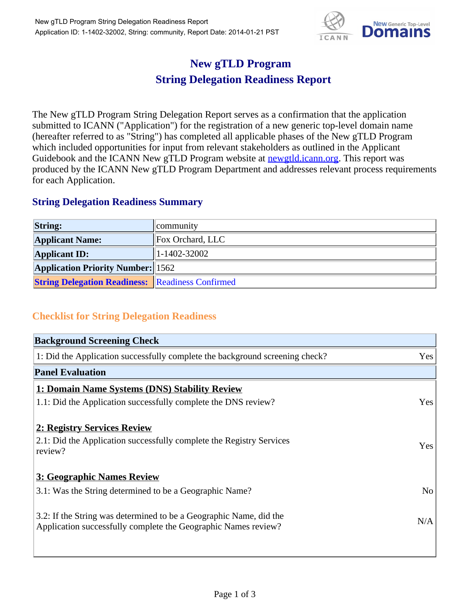

## **New gTLD Program String Delegation Readiness Report**

The New gTLD Program String Delegation Report serves as a confirmation that the application submitted to ICANN ("Application") for the registration of a new generic top-level domain name (hereafter referred to as "String") has completed all applicable phases of the New gTLD Program which included opportunities for input from relevant stakeholders as outlined in the Applicant Guidebook and the ICANN New gTLD Program website at **newgtld.jcann.org**. This report was produced by the ICANN New gTLD Program Department and addresses relevant process requirements for each Application.

## **String Delegation Readiness Summary**

| <b>String:</b>                                          | community          |
|---------------------------------------------------------|--------------------|
| <b>Applicant Name:</b>                                  | Fox Orchard, LLC   |
| <b>Applicant ID:</b>                                    | $1 - 1402 - 32002$ |
| <b>Application Priority Number: 1562</b>                |                    |
| <b>String Delegation Readiness:</b> Readiness Confirmed |                    |

## **Checklist for String Delegation Readiness**

| <b>Background Screening Check</b>                                               |                |  |
|---------------------------------------------------------------------------------|----------------|--|
| 1: Did the Application successfully complete the background screening check?    | Yes            |  |
| <b>Panel Evaluation</b>                                                         |                |  |
| 1: Domain Name Systems (DNS) Stability Review                                   |                |  |
| 1.1: Did the Application successfully complete the DNS review?                  | Yes            |  |
| 2: Registry Services Review                                                     |                |  |
|                                                                                 |                |  |
| 2.1: Did the Application successfully complete the Registry Services<br>review? | <b>Yes</b>     |  |
|                                                                                 |                |  |
| 3: Geographic Names Review                                                      |                |  |
| 3.1: Was the String determined to be a Geographic Name?                         | N <sub>0</sub> |  |
| 3.2: If the String was determined to be a Geographic Name, did the              |                |  |
| Application successfully complete the Geographic Names review?                  | N/A            |  |
|                                                                                 |                |  |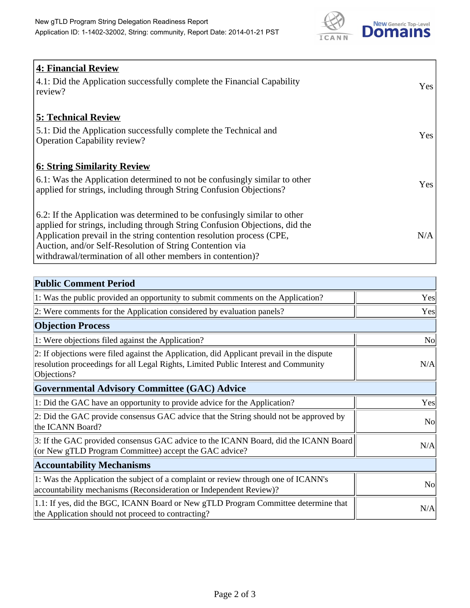

| <b>4: Financial Review</b><br>4.1: Did the Application successfully complete the Financial Capability<br>review?                                                                                                                                                                                                                                             | Yes |
|--------------------------------------------------------------------------------------------------------------------------------------------------------------------------------------------------------------------------------------------------------------------------------------------------------------------------------------------------------------|-----|
| <b>5: Technical Review</b><br>5.1: Did the Application successfully complete the Technical and<br><b>Operation Capability review?</b>                                                                                                                                                                                                                        | Yes |
| <b>6: String Similarity Review</b><br>6.1: Was the Application determined to not be confusingly similar to other<br>applied for strings, including through String Confusion Objections?                                                                                                                                                                      | Yes |
| 6.2: If the Application was determined to be confusingly similar to other<br>applied for strings, including through String Confusion Objections, did the<br>Application prevail in the string contention resolution process (CPE,<br>Auction, and/or Self-Resolution of String Contention via<br>withdrawal/termination of all other members in contention)? | N/A |

| <b>Public Comment Period</b>                                                                                                                                                                   |                |
|------------------------------------------------------------------------------------------------------------------------------------------------------------------------------------------------|----------------|
| 1: Was the public provided an opportunity to submit comments on the Application?                                                                                                               | Yes            |
| 2: Were comments for the Application considered by evaluation panels?                                                                                                                          | Yes            |
| <b>Objection Process</b>                                                                                                                                                                       |                |
| 1: Were objections filed against the Application?                                                                                                                                              | N <sub>0</sub> |
| 2: If objections were filed against the Application, did Applicant prevail in the dispute<br>resolution proceedings for all Legal Rights, Limited Public Interest and Community<br>Objections? | N/A            |
| <b>Governmental Advisory Committee (GAC) Advice</b>                                                                                                                                            |                |
| 1: Did the GAC have an opportunity to provide advice for the Application?                                                                                                                      | Yes            |
| 2: Did the GAC provide consensus GAC advice that the String should not be approved by<br>the ICANN Board?                                                                                      | <b>No</b>      |
| 3: If the GAC provided consensus GAC advice to the ICANN Board, did the ICANN Board<br>(or New gTLD Program Committee) accept the GAC advice?                                                  | N/A            |
| <b>Accountability Mechanisms</b>                                                                                                                                                               |                |
| 1: Was the Application the subject of a complaint or review through one of ICANN's<br>accountability mechanisms (Reconsideration or Independent Review)?                                       | <b>No</b>      |
| 1.1: If yes, did the BGC, ICANN Board or New gTLD Program Committee determine that<br>the Application should not proceed to contracting?                                                       | N/A            |